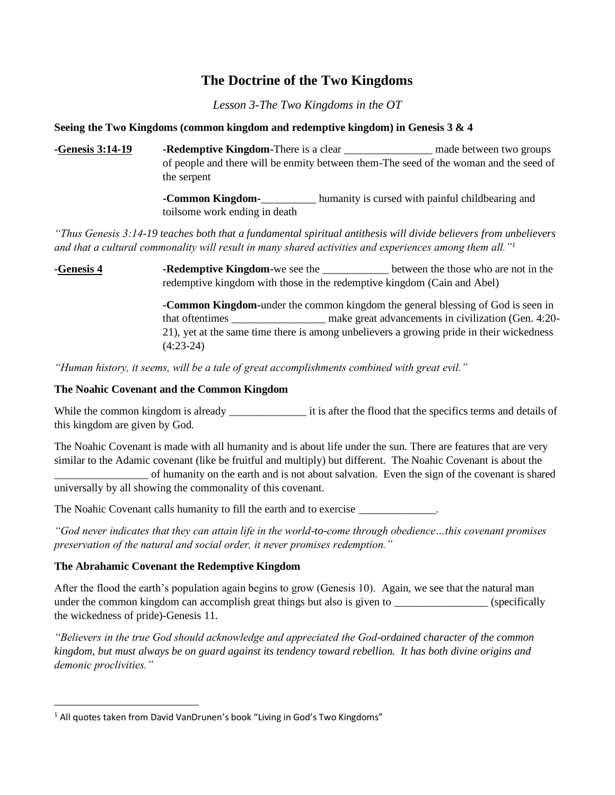# **The Doctrine of the Two Kingdoms**

*Lesson 3-The Two Kingdoms in the OT*

#### **Seeing the Two Kingdoms (common kingdom and redemptive kingdom) in Genesis 3 & 4**

**-Genesis 3:14-19 -Redemptive Kingdom-**There is a clear \_\_\_\_\_\_\_\_\_\_\_\_\_\_\_\_ made between two groups of people and there will be enmity between them-The seed of the woman and the seed of the serpent

> **-Common Kingdom-**\_\_\_\_\_\_\_\_\_\_ humanity is cursed with painful childbearing and toilsome work ending in death

*"Thus Genesis 3:14-19 teaches both that a fundamental spiritual antithesis will divide believers from unbelievers and that a cultural commonality will result in many shared activities and experiences among them all."<sup>1</sup>*

**-Genesis 4 -Redemptive Kingdom-**we see the \_\_\_\_\_\_\_\_\_\_\_\_ between the those who are not in the redemptive kingdom with those in the redemptive kingdom (Cain and Abel)

> **-Common Kingdom-**under the common kingdom the general blessing of God is seen in that oftentimes \_\_\_\_\_\_\_\_\_\_\_\_\_\_\_\_\_\_\_\_\_ make great advancements in civilization (Gen. 4:20-21), yet at the same time there is among unbelievers a growing pride in their wickedness (4:23-24)

*"Human history, it seems, will be a tale of great accomplishments combined with great evil."*

### **The Noahic Covenant and the Common Kingdom**

While the common kingdom is already \_\_\_\_\_\_\_\_\_\_\_\_\_\_\_\_\_\_\_\_ it is after the flood that the specifics terms and details of this kingdom are given by God.

The Noahic Covenant is made with all humanity and is about life under the sun. There are features that are very similar to the Adamic covenant (like be fruitful and multiply) but different. The Noahic Covenant is about the

\_\_\_\_\_\_\_\_\_\_\_\_\_\_\_\_\_ of humanity on the earth and is not about salvation. Even the sign of the covenant is shared universally by all showing the commonality of this covenant.

The Noahic Covenant calls humanity to fill the earth and to exercise  $\cdot$ 

*"God never indicates that they can attain life in the world-to-come through obedience…this covenant promises preservation of the natural and social order, it never promises redemption."*

#### **The Abrahamic Covenant the Redemptive Kingdom**

After the flood the earth's population again begins to grow (Genesis 10). Again, we see that the natural man under the common kingdom can accomplish great things but also is given to \_\_\_\_\_\_\_\_\_\_\_\_\_\_\_\_\_\_\_\_ (specifically the wickedness of pride)-Genesis 11.

*"Believers in the true God should acknowledge and appreciated the God-ordained character of the common kingdom, but must always be on guard against its tendency toward rebellion. It has both divine origins and demonic proclivities."*

<sup>&</sup>lt;sup>1</sup> All quotes taken from David VanDrunen's book "Living in God's Two Kingdoms"